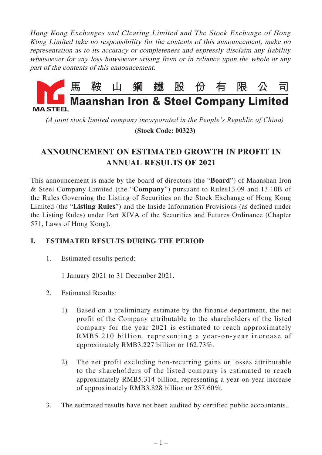Hong Kong Exchanges and Clearing Limited and The Stock Exchange of Hong Kong Limited take no responsibility for the contents of this announcement, make no representation as to its accuracy or completeness and expressly disclaim any liability whatsoever for any loss howsoever arising from or in reliance upon the whole or any part of the contents of this announcement.



*(A joint stock limited company incorporated in the People's Republic of China)*

 **(Stock Code: 00323)**

# **ANNOUNCEMENT ON ESTIMATED GROWTH IN PROFIT IN ANNUAL RESULTS OF 2021**

This announcement is made by the board of directors (the "**Board**") of Maanshan Iron & Steel Company Limited (the "**Company**") pursuant to Rules13.09 and 13.10B of the Rules Governing the Listing of Securities on the Stock Exchange of Hong Kong Limited (the "**Listing Rules**") and the Inside Information Provisions (as defined under the Listing Rules) under Part XIVA of the Securities and Futures Ordinance (Chapter 571, Laws of Hong Kong).

### **I. ESTIMATED RESULTS DURING THE PERIOD**

1. Estimated results period:

1 January 2021 to 31 December 2021.

- 2. Estimated Results:
	- 1) Based on a preliminary estimate by the finance department, the net profit of the Company attributable to the shareholders of the listed company for the year 2021 is estimated to reach approximately RMB5.210 billion, representing a year-on-year increase of approximately RMB3.227 billion or 162.73%.
	- 2) The net profit excluding non-recurring gains or losses attributable to the shareholders of the listed company is estimated to reach approximately RMB5.314 billion, representing a year-on-year increase of approximately RMB3.828 billion or 257.60%.
- 3. The estimated results have not been audited by certified public accountants.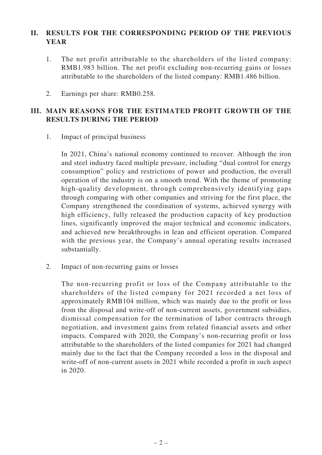### **II. RESULTS FOR THE CORRESPONDING PERIOD OF THE PREVIOUS YEAR**

- 1. The net profit attributable to the shareholders of the listed company: RMB1.983 billion. The net profit excluding non-recurring gains or losses attributable to the shareholders of the listed company: RMB1.486 billion.
- 2. Earnings per share: RMB0.258.

### **III. MAIN REASONS FOR THE ESTIMATED PROFIT GROWTH OF THE RESULTS DURING THE PERIOD**

1. Impact of principal business

In 2021, China's national economy continued to recover. Although the iron and steel industry faced multiple pressure, including "dual control for energy consumption" policy and restrictions of power and production, the overall operation of the industry is on a smooth trend. With the theme of promoting high-quality development, through comprehensively identifying gaps through comparing with other companies and striving for the first place, the Company strengthened the coordination of systems, achieved synergy with high efficiency, fully released the production capacity of key production lines, significantly improved the major technical and economic indicators, and achieved new breakthroughs in lean and efficient operation. Compared with the previous year, the Company's annual operating results increased substantially.

2. Impact of non-recurring gains or losses

The non-recurring profit or loss of the Company attributable to the shareholders of the listed company for 2021 recorded a net loss of approximately RMB104 million, which was mainly due to the profit or loss from the disposal and write-off of non-current assets, government subsidies, dismissal compensation for the termination of labor contracts through negotiation, and investment gains from related financial assets and other impacts. Compared with 2020, the Company's non-recurring profit or loss attributable to the shareholders of the listed companies for 2021 had changed mainly due to the fact that the Company recorded a loss in the disposal and write-off of non-current assets in 2021 while recorded a profit in such aspect in 2020.